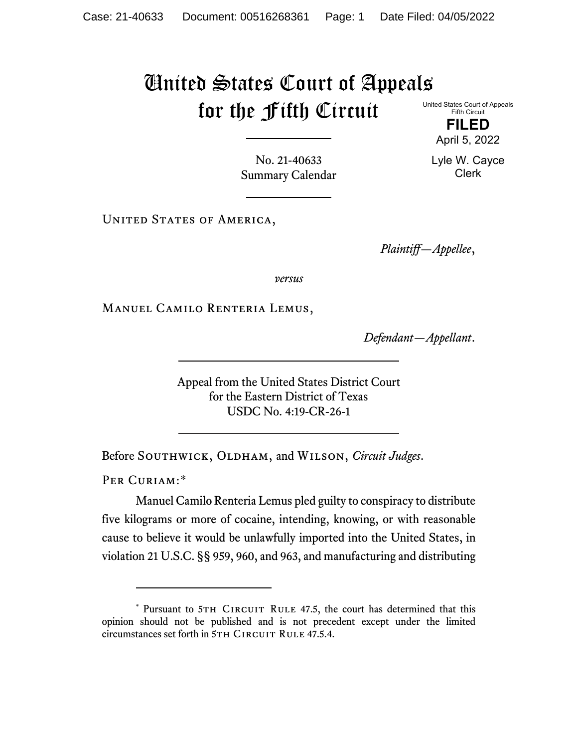## United States Court of Appeals for the Fifth Circuit

United States Court of Appeals Fifth Circuit

> **FILED** April 5, 2022

Lyle W. Cayce Clerk

No. 21-40633 Summary Calendar

UNITED STATES OF AMERICA,

*Plaintiff—Appellee*,

*versus*

Manuel Camilo Renteria Lemus,

*Defendant—Appellant*.

Appeal from the United States District Court for the Eastern District of Texas USDC No. 4:19-CR-26-1

Before SOUTHWICK, OLDHAM, and WILSON, *Circuit Judges*.

PER CURIAM:[\\*](#page-0-0)

Manuel Camilo Renteria Lemus pled guilty to conspiracy to distribute five kilograms or more of cocaine, intending, knowing, or with reasonable cause to believe it would be unlawfully imported into the United States, in violation 21 U.S.C. §§ 959, 960, and 963, and manufacturing and distributing

<span id="page-0-0"></span><sup>\*</sup> Pursuant to 5TH CIRCUIT RULE 47.5, the court has determined that this opinion should not be published and is not precedent except under the limited circumstances set forth in 5TH CIRCUIT RULE 47.5.4.